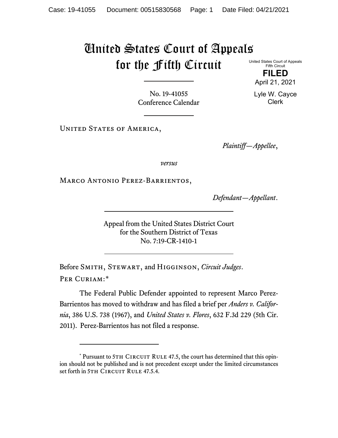## United States Court of Appeals for the Fifth Circuit

United States Court of Appeals Fifth Circuit

> **FILED** April 21, 2021

Lyle W. Cayce Clerk

No. 19-41055 Conference Calendar

UNITED STATES OF AMERICA,

*Plaintiff—Appellee*,

*versus*

Marco Antonio Perez-Barrientos,

*Defendant—Appellant*.

Appeal from the United States District Court for the Southern District of Texas No. 7:19-CR-1410-1

Before Smith, Stewart, and Higginson, *Circuit Judges*. Per Curiam:[\\*](#page-0-0)

The Federal Public Defender appointed to represent Marco Perez-Barrientos has moved to withdraw and has filed a brief per *Anders v. California*, 386 U.S. 738 (1967), and *United States v. Flores*, 632 F.3d 229 (5th Cir. 2011). Perez-Barrientos has not filed a response.

<span id="page-0-0"></span><sup>\*</sup> Pursuant to 5TH CIRCUIT RULE 47.5, the court has determined that this opinion should not be published and is not precedent except under the limited circumstances set forth in 5TH CIRCUIT RULE 47.5.4.